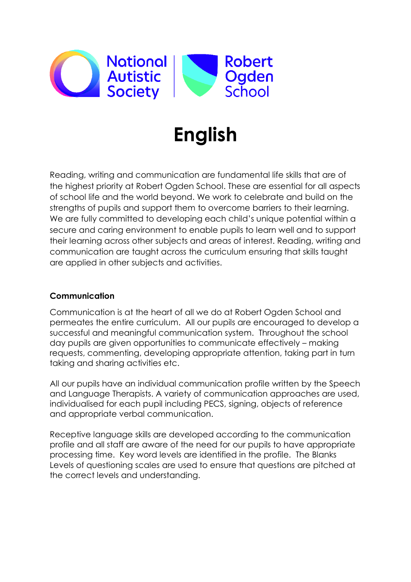

# **English**

Reading, writing and communication are fundamental life skills that are of the highest priority at Robert Ogden School. These are essential for all aspects of school life and the world beyond. We work to celebrate and build on the strengths of pupils and support them to overcome barriers to their learning. We are fully committed to developing each child's unique potential within a secure and caring environment to enable pupils to learn well and to support their learning across other subjects and areas of interest. Reading, writing and communication are taught across the curriculum ensuring that skills taught are applied in other subjects and activities.

## **Communication**

Communication is at the heart of all we do at Robert Ogden School and permeates the entire curriculum. All our pupils are encouraged to develop a successful and meaningful communication system. Throughout the school day pupils are given opportunities to communicate effectively – making requests, commenting, developing appropriate attention, taking part in turn taking and sharing activities etc.

All our pupils have an individual communication profile written by the Speech and Language Therapists. A variety of communication approaches are used, individualised for each pupil including PECS, signing, objects of reference and appropriate verbal communication.

Receptive language skills are developed according to the communication profile and all staff are aware of the need for our pupils to have appropriate processing time. Key word levels are identified in the profile. The Blanks Levels of questioning scales are used to ensure that questions are pitched at the correct levels and understanding.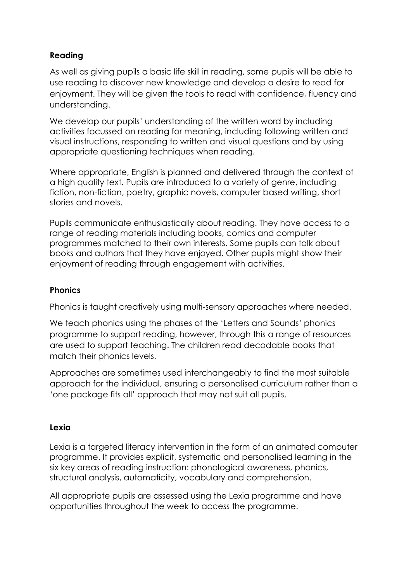# **Reading**

As well as giving pupils a basic life skill in reading, some pupils will be able to use reading to discover new knowledge and develop a desire to read for enjoyment. They will be given the tools to read with confidence, fluency and understanding.

We develop our pupils' understanding of the written word by including activities focussed on reading for meaning, including following written and visual instructions, responding to written and visual questions and by using appropriate questioning techniques when reading.

Where appropriate, English is planned and delivered through the context of a high quality text. Pupils are introduced to a variety of genre, including fiction, non-fiction, poetry, graphic novels, computer based writing, short stories and novels.

Pupils communicate enthusiastically about reading. They have access to a range of reading materials including books, comics and computer programmes matched to their own interests. Some pupils can talk about books and authors that they have enjoyed. Other pupils might show their enjoyment of reading through engagement with activities.

## **Phonics**

Phonics is taught creatively using multi-sensory approaches where needed.

We teach phonics using the phases of the 'Letters and Sounds' phonics programme to support reading, however, through this a range of resources are used to support teaching. The children read decodable books that match their phonics levels.

Approaches are sometimes used interchangeably to find the most suitable approach for the individual, ensuring a personalised curriculum rather than a 'one package fits all' approach that may not suit all pupils.

#### **Lexia**

Lexia is a targeted literacy intervention in the form of an animated computer programme. It provides explicit, systematic and personalised learning in the six key areas of reading instruction: phonological awareness, phonics, structural analysis, automaticity, vocabulary and comprehension.

All appropriate pupils are assessed using the Lexia programme and have opportunities throughout the week to access the programme.